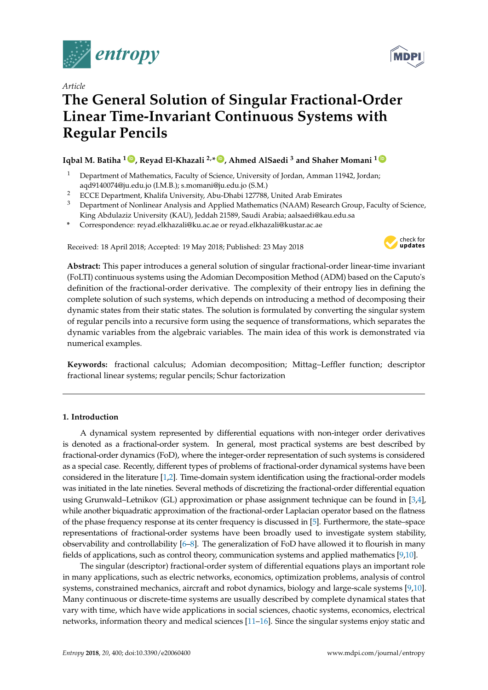

*Article*

# **The General Solution of Singular Fractional-Order Linear Time-Invariant Continuous Systems with Regular Pencils**

# **Iqbal M. Batiha <sup>1</sup> ID , Reyad El-Khazali 2,\* ID , Ahmed AlSaedi <sup>3</sup> and Shaher Momani <sup>1</sup> ID**

- <sup>1</sup> Department of Mathematics, Faculty of Science, University of Jordan, Amman 11942, Jordan; aqd9140074@ju.edu.jo (I.M.B.); s.momani@ju.edu.jo (S.M.)
- <sup>2</sup> ECCE Department, Khalifa University, Abu-Dhabi 127788, United Arab Emirates
- <sup>3</sup> Department of Nonlinear Analysis and Applied Mathematics (NAAM) Research Group, Faculty of Science, King Abdulaziz University (KAU), Jeddah 21589, Saudi Arabia; aalsaedi@kau.edu.sa
- **\*** Correspondence: reyad.elkhazali@ku.ac.ae or reyad.elkhazali@kustar.ac.ae

Received: 18 April 2018; Accepted: 19 May 2018; Published: 23 May 2018



**Abstract:** This paper introduces a general solution of singular fractional-order linear-time invariant (FoLTI) continuous systems using the Adomian Decomposition Method (ADM) based on the Caputo's definition of the fractional-order derivative. The complexity of their entropy lies in defining the complete solution of such systems, which depends on introducing a method of decomposing their dynamic states from their static states. The solution is formulated by converting the singular system of regular pencils into a recursive form using the sequence of transformations, which separates the dynamic variables from the algebraic variables. The main idea of this work is demonstrated via numerical examples.

**Keywords:** fractional calculus; Adomian decomposition; Mittag–Leffler function; descriptor fractional linear systems; regular pencils; Schur factorization

# **1. Introduction**

A dynamical system represented by differential equations with non-integer order derivatives is denoted as a fractional-order system. In general, most practical systems are best described by fractional-order dynamics (FoD), where the integer-order representation of such systems is considered as a special case. Recently, different types of problems of fractional-order dynamical systems have been considered in the literature [1,2]. Time-domain system identification using the fractional-order models was initiated in the late nineties. Several methods of discretizing the fractional-order differential equation using Grunwald–Letnikov (GL) approximation or phase assignment technique can be found in [3,4], while another biquadratic approximation of the fractional-order Laplacian operator based on the flatness of the phase frequency response at its center frequency is discussed in [5]. Furthermore, the state–space representations of fractional-order systems have been broadly used to investigate system stability, observability and controllability [6–8]. The generalization of FoD have allowed it to flourish in many fields of applications, such as control theory, communication systems and applied mathematics [9,10].

The singular (descriptor) fractional-order system of differential equations plays an important role in many applications, such as electric networks, economics, optimization problems, analysis of control systems, constrained mechanics, aircraft and robot dynamics, biology and large-scale systems [9,10]. Many continuous or discrete-time systems are usually described by complete dynamical states that vary with time, which have wide applications in social sciences, chaotic systems, economics, electrical networks, information theory and medical sciences [11–16]. Since the singular systems enjoy static and

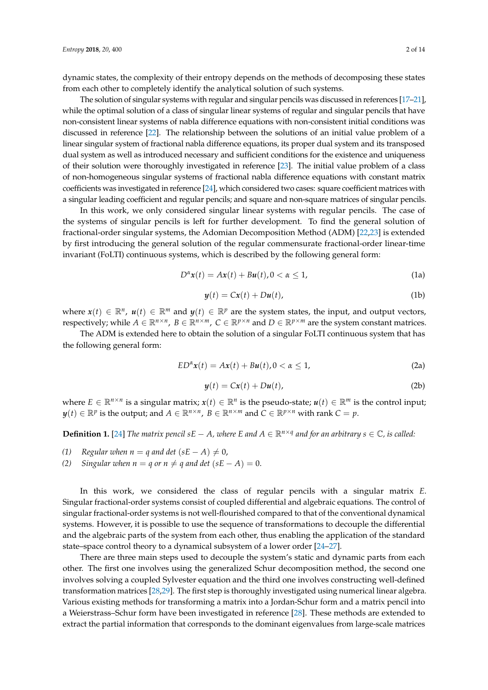dynamic states, the complexity of their entropy depends on the methods of decomposing these states from each other to completely identify the analytical solution of such systems.

The solution of singular systems with regular and singular pencils was discussed in references [17–21], while the optimal solution of a class of singular linear systems of regular and singular pencils that have non-consistent linear systems of nabla difference equations with non-consistent initial conditions was discussed in reference [22]. The relationship between the solutions of an initial value problem of a linear singular system of fractional nabla difference equations, its proper dual system and its transposed dual system as well as introduced necessary and sufficient conditions for the existence and uniqueness of their solution were thoroughly investigated in reference [23]. The initial value problem of a class of non-homogeneous singular systems of fractional nabla difference equations with constant matrix coefficients was investigated in reference [24], which considered two cases: square coefficient matrices with a singular leading coefficient and regular pencils; and square and non-square matrices of singular pencils.

In this work, we only considered singular linear systems with regular pencils. The case of the systems of singular pencils is left for further development. To find the general solution of fractional-order singular systems, the Adomian Decomposition Method (ADM) [22,23] is extended by first introducing the general solution of the regular commensurate fractional-order linear-time invariant (FoLTI) continuous systems, which is described by the following general form:

$$
D^{\alpha}x(t) = Ax(t) + Bu(t), 0 < \alpha \le 1,
$$
\n(1a)

$$
y(t) = Cx(t) + Du(t),
$$
 (1b)

where  $x(t) \in \mathbb{R}^n$ ,  $u(t) \in \mathbb{R}^m$  and  $y(t) \in \mathbb{R}^p$  are the system states, the input, and output vectors, respectively; while  $A \in \mathbb{R}^{n \times n}$ ,  $B \in \mathbb{R}^{n \times m}$ ,  $C \in \mathbb{R}^{p \times n}$  and  $D \in \mathbb{R}^{p \times m}$  are the system constant matrices.

The ADM is extended here to obtain the solution of a singular FoLTI continuous system that has the following general form:

$$
ED^{\alpha}x(t) = Ax(t) + Bu(t), 0 < \alpha \le 1,
$$
\n(2a)

$$
y(t) = Cx(t) + Du(t),
$$
 (2b)

where  $E \in \mathbb{R}^{n \times n}$  is a singular matrix;  $x(t) \in \mathbb{R}^n$  is the pseudo-state;  $u(t) \in \mathbb{R}^m$  is the control input;  $y(t) \in \mathbb{R}^p$  is the output; and  $A \in \mathbb{R}^{n \times n}$ ,  $B \in \mathbb{R}^{n \times m}$  and  $C \in \mathbb{R}^{p \times n}$  with rank  $C = p$ .

**Definition 1.** [24] *The matrix pencil sE* − *A*, where *E* and  $A \in \mathbb{R}^{n \times q}$  and for an arbitrary  $s \in \mathbb{C}$ , is called:

- *(1) Regular when*  $n = q$  *and det*  $(sE A) \neq 0$ ,
- *(2) Singular when*  $n = q$  *or*  $n \neq q$  *and det*  $(sE A) = 0$ .

In this work, we considered the class of regular pencils with a singular matrix *E*. Singular fractional-order systems consist of coupled differential and algebraic equations. The control of singular fractional-order systems is not well-flourished compared to that of the conventional dynamical systems. However, it is possible to use the sequence of transformations to decouple the differential and the algebraic parts of the system from each other, thus enabling the application of the standard state–space control theory to a dynamical subsystem of a lower order [24–27].

There are three main steps used to decouple the system's static and dynamic parts from each other. The first one involves using the generalized Schur decomposition method, the second one involves solving a coupled Sylvester equation and the third one involves constructing well-defined transformation matrices [28,29]. The first step is thoroughly investigated using numerical linear algebra. Various existing methods for transforming a matrix into a Jordan-Schur form and a matrix pencil into a Weierstrass–Schur form have been investigated in reference [28]. These methods are extended to extract the partial information that corresponds to the dominant eigenvalues from large-scale matrices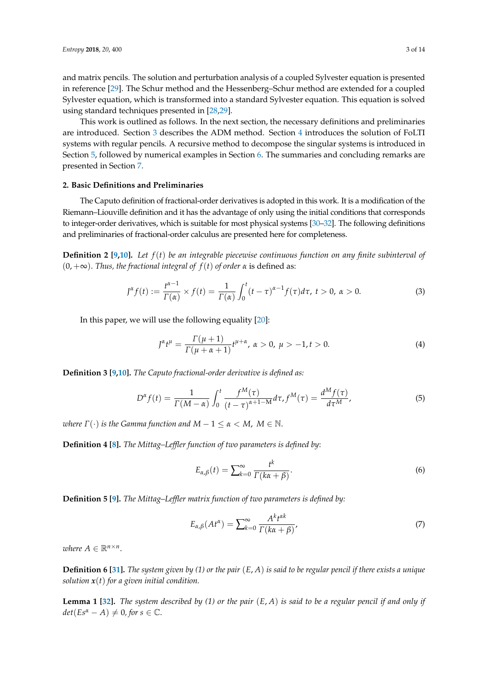and matrix pencils. The solution and perturbation analysis of a coupled Sylvester equation is presented in reference [29]. The Schur method and the Hessenberg–Schur method are extended for a coupled Sylvester equation, which is transformed into a standard Sylvester equation. This equation is solved using standard techniques presented in [28,29].

This work is outlined as follows. In the next section, the necessary definitions and preliminaries are introduced. Section 3 describes the ADM method. Section 4 introduces the solution of FoLTI systems with regular pencils. A recursive method to decompose the singular systems is introduced in Section 5, followed by numerical examples in Section 6. The summaries and concluding remarks are presented in Section 7.

#### **2. Basic Definitions and Preliminaries**

The Caputo definition of fractional-order derivatives is adopted in this work. It is a modification of the Riemann–Liouville definition and it has the advantage of only using the initial conditions that corresponds to integer-order derivatives, which is suitable for most physical systems [30–32]. The following definitions and preliminaries of fractional-order calculus are presented here for completeness.

**Definition 2 [9,10].** *Let f*(*t*) *be an integrable piecewise continuous function on any finite subinterval of*  $(0, +\infty)$ . *Thus, the fractional integral of*  $f(t)$  *of order*  $\alpha$  is defined as:

$$
J^{\alpha} f(t) := \frac{t^{\alpha - 1}}{\Gamma(\alpha)} \times f(t) = \frac{1}{\Gamma(\alpha)} \int_0^t (t - \tau)^{\alpha - 1} f(\tau) d\tau, \ t > 0, \ \alpha > 0.
$$
 (3)

In this paper, we will use the following equality [20]:

$$
J^{\alpha}t^{\mu} = \frac{\Gamma(\mu+1)}{\Gamma(\mu+\alpha+1)}t^{\mu+\alpha}, \ \alpha > 0, \ \mu > -1, t > 0.
$$
 (4)

**Definition 3 [9,10].** *The Caputo fractional-order derivative is defined as:*

$$
D^{\alpha}f(t) = \frac{1}{\Gamma(M-\alpha)} \int_0^t \frac{f^M(\tau)}{(t-\tau)^{\alpha+1-M}} d\tau, f^M(\tau) = \frac{d^Mf(\tau)}{d\tau^M},
$$
\n(5)

*where*  $\Gamma(\cdot)$  *is the Gamma function and*  $M - 1 \le \alpha < M$ ,  $M \in \mathbb{N}$ .

**Definition 4 [8].** *The Mittag–Leffler function of two parameters is defined by*:

$$
E_{\alpha,\beta}(t) = \sum_{k=0}^{\infty} \frac{t^k}{\Gamma(k\alpha + \beta)}.
$$
\n(6)

**Definition 5 [9].** *The Mittag–Leffler matrix function of two parameters is defined by:*

$$
E_{\alpha,\beta}(At^{\alpha}) = \sum_{k=0}^{\infty} \frac{A^k t^{\alpha k}}{\Gamma(k\alpha + \beta)},
$$
\n(7)

*where*  $A \in \mathbb{R}^{n \times n}$ .

**Definition 6 [31].** *The system given by (1) or the pair* (*E*, *A*) *is said to be regular pencil if there exists a unique solution x*(*t*) *for a given initial condition.*

**Lemma 1 [32].** *The system described by (1) or the pair* (*E*, *A*) *is said to be a regular pencil if and only if*  $det(Es^{\alpha} - A) \neq 0$ , for  $s \in \mathbb{C}$ .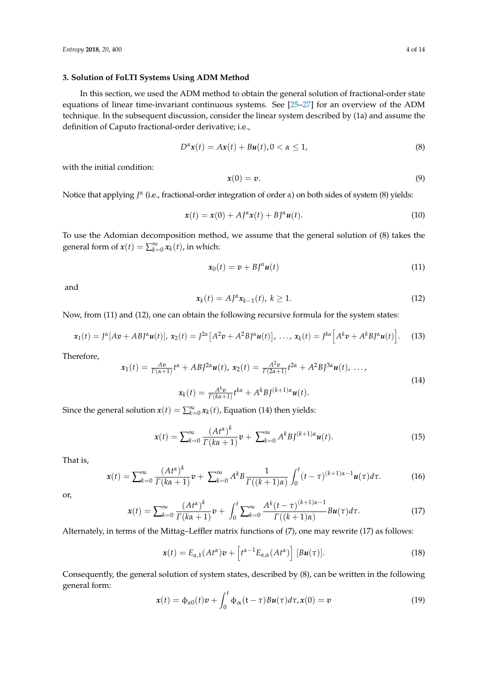#### **3. Solution of FoLTI Systems Using ADM Method**

In this section, we used the ADM method to obtain the general solution of fractional-order state equations of linear time-invariant continuous systems. See [25–27] for an overview of the ADM technique. In the subsequent discussion, consider the linear system described by (1a) and assume the definition of Caputo fractional-order derivative; i.e.,

$$
D^{\alpha}x(t) = Ax(t) + Bu(t), 0 < \alpha \leq 1,\tag{8}
$$

with the initial condition:

$$
x(0) = v. \tag{9}
$$

Notice that applying *J<sup>α</sup>* (i.e., fractional-order integration of order *α*) on both sides of system (8) yields:

$$
\mathbf{x}(t) = \mathbf{x}(0) + A J^{\alpha} \mathbf{x}(t) + B J^{\alpha} \mathbf{u}(t).
$$
\n(10)

To use the Adomian decomposition method, we assume that the general solution of (8) takes the general form of  $x(t) = \sum_{k=0}^{\infty} x_k(t)$ , in which:

$$
x_0(t) = v + B J^{\alpha} u(t) \tag{11}
$$

and

$$
x_k(t) = A J^{\alpha} x_{k-1}(t), \ k \ge 1.
$$
 (12)

Now, from (11) and (12), one can obtain the following recursive formula for the system states:

$$
\mathbf{x}_1(t) = J^{\alpha}[A\mathbf{v} + ABJ^{\alpha}\mathbf{u}(t)], \ \mathbf{x}_2(t) = J^{2\alpha}[A^2\mathbf{v} + A^2BJ^{\alpha}\mathbf{u}(t)], \ \ldots, \ \mathbf{x}_k(t) = J^{k\alpha}[A^k\mathbf{v} + A^kBJ^{\alpha}\mathbf{u}(t)]. \tag{13}
$$

Therefore,

$$
\mathbf{x}_{1}(t) = \frac{A\mathbf{v}}{\Gamma(\alpha+1)}t^{\alpha} + ABJ^{2\alpha}\mathbf{u}(t), \ \mathbf{x}_{2}(t) = \frac{A^{2}\mathbf{v}}{\Gamma(2\alpha+1)}t^{2\alpha} + A^{2}BJ^{3\alpha}\mathbf{u}(t), \ \ldots,
$$
\n
$$
\mathbf{x}_{k}(t) = \frac{A^{k}\mathbf{v}}{\Gamma(k\alpha+1)}t^{k\alpha} + A^{k}BJ^{(k+1)\alpha}\mathbf{u}(t).
$$
\n(14)

Since the general solution  $x(t) = \sum_{k=0}^{\infty} x_k(t)$ , Equation (14) then yields:

$$
x(t) = \sum_{k=0}^{\infty} \frac{(At^{\alpha})^k}{\Gamma(k\alpha+1)} v + \sum_{k=0}^{\infty} A^k B J^{(k+1)\alpha} u(t).
$$
 (15)

That is,

$$
x(t) = \sum_{k=0}^{\infty} \frac{(At^{\alpha})^k}{\Gamma(k\alpha+1)} v + \sum_{k=0}^{\infty} A^k B \frac{1}{\Gamma((k+1)\alpha)} \int_0^t (t-\tau)^{(k+1)\alpha-1} u(\tau) d\tau.
$$
 (16)

or,

$$
x(t) = \sum_{k=0}^{\infty} \frac{(At^{\alpha})^k}{\Gamma(k\alpha+1)} v + \int_0^t \sum_{k=0}^{\infty} \frac{A^k(t-\tau)^{(k+1)\alpha-1}}{\Gamma((k+1)\alpha)} Bu(\tau) d\tau.
$$
 (17)

Alternately, in terms of the Mittag–Leffler matrix functions of (7), one may rewrite (17) as follows:

$$
\mathbf{x}(t) = E_{\alpha,1}(At^{\alpha})\mathbf{v} + \left[t^{\alpha-1}E_{\alpha,\alpha}(At^{\alpha})\right][B\mathbf{u}(\tau)].
$$
\n(18)

Consequently, the general solution of system states, described by (8), can be written in the following general form:

$$
x(t) = \phi_{\alpha 0}(t)v + \int_0^t \phi_{\alpha}(t-\tau)Bu(\tau)d\tau, x(0) = v
$$
\n(19)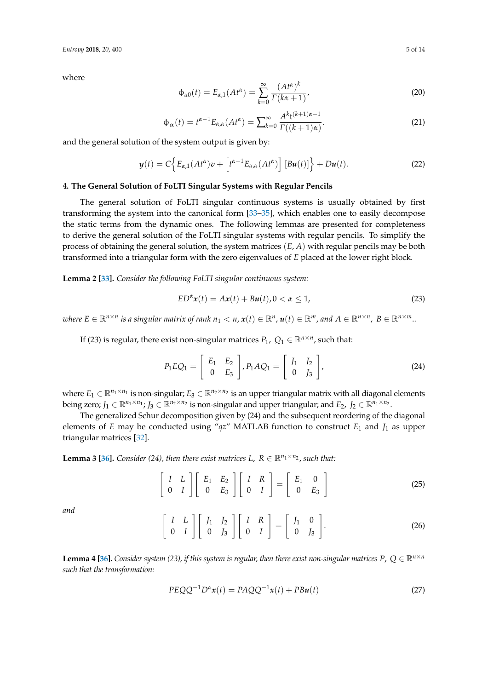where

$$
\Phi_{\alpha 0}(t) = E_{\alpha,1}(At^{\alpha}) = \sum_{k=0}^{\infty} \frac{(At^{\alpha})^k}{\Gamma(k\alpha + 1)},
$$
\n(20)

$$
\Phi_{\alpha}(t) = t^{\alpha - 1} E_{\alpha,\alpha}(At^{\alpha}) = \sum_{k=0}^{\infty} \frac{A^{k}t^{(k+1)\alpha - 1}}{\Gamma((k+1)\alpha)}.
$$
\n(21)

and the general solution of the system output is given by:

$$
\mathbf{y}(t) = C\Big\{E_{\alpha,1}(At^{\alpha})\mathbf{v} + \left[t^{\alpha-1}E_{\alpha,\alpha}(At^{\alpha})\right][B\mathbf{u}(t)]\Big\} + D\mathbf{u}(t). \tag{22}
$$

#### **4. The General Solution of FoLTI Singular Systems with Regular Pencils**

The general solution of FoLTI singular continuous systems is usually obtained by first transforming the system into the canonical form [33–35], which enables one to easily decompose the static terms from the dynamic ones. The following lemmas are presented for completeness to derive the general solution of the FoLTI singular systems with regular pencils. To simplify the process of obtaining the general solution, the system matrices (*E*, *A*) with regular pencils may be both transformed into a triangular form with the zero eigenvalues of *E* placed at the lower right block.

**Lemma 2 [33].** *Consider the following FoLTI singular continuous system:*

$$
ED^{\alpha}x(t) = Ax(t) + Bu(t), 0 < \alpha \le 1,\tag{23}
$$

 $\mathbf{w}$  where  $E \in \mathbb{R}^{n \times n}$  is a singular matrix of rank  $n_1 < n$ ,  $\mathbf{x}(t) \in \mathbb{R}^n$ ,  $\mathbf{u}(t) \in \mathbb{R}^m$ , and  $A \in \mathbb{R}^{n \times n}$ ,  $B \in \mathbb{R}^{n \times m}$ ...

If (23) is regular, there exist non-singular matrices  $P_1$ ,  $Q_1 \in \mathbb{R}^{n \times n}$ , such that:

$$
P_1EQ_1 = \begin{bmatrix} E_1 & E_2 \\ 0 & E_3 \end{bmatrix}, P_1AQ_1 = \begin{bmatrix} J_1 & J_2 \\ 0 & J_3 \end{bmatrix},\tag{24}
$$

where  $E_1 \in \mathbb{R}^{n_1 \times n_1}$  is non-singular;  $E_3 \in \mathbb{R}^{n_2 \times n_2}$  is an upper triangular matrix with all diagonal elements being zero;  $J_1 \in \mathbb{R}^{n_1 \times n_1}$ ;  $J_3 \in \mathbb{R}^{n_2 \times n_2}$  is non-singular and upper triangular; and  $E_2$ ,  $J_2 \in \mathbb{R}^{n_1 \times n_2}$ .

The generalized Schur decomposition given by (24) and the subsequent reordering of the diagonal elements of *E* may be conducted using "*qz*" MATLAB function to construct *E*<sup>1</sup> and *J*<sup>1</sup> as upper triangular matrices [32].

**Lemma 3 [36].** *Consider (24), then there exist matrices L,*  $R \in \mathbb{R}^{n_1 \times n_2}$ *, such that:* 

 $\begin{bmatrix} I & L \end{bmatrix}$ 0 *I*  $\left[ \begin{array}{cc} E_1 & E_2 \end{array} \right]$ 0 *E*<sup>3</sup>  $\left[\begin{array}{cc} I & R\end{array}\right]$ 0 *I*  $\overline{1}$ =  $E_1$  0 0 *E*<sup>3</sup> 1 (25)

*and*

$$
\left[\begin{array}{cc} I & L \\ 0 & I \end{array}\right] \left[\begin{array}{cc} J_1 & J_2 \\ 0 & J_3 \end{array}\right] \left[\begin{array}{cc} I & R \\ 0 & I \end{array}\right] = \left[\begin{array}{cc} J_1 & 0 \\ 0 & J_3 \end{array}\right].
$$
 (26)

**Lemma 4 [36].** *Consider system (23), if this system is regular, then there exist non-singular matrices P,*  $Q \in \mathbb{R}^{n \times n}$ *such that the transformation:*

$$
PEQQ^{-1}D^{\alpha}x(t) = PAQQ^{-1}x(t) + PBu(t)
$$
\n(27)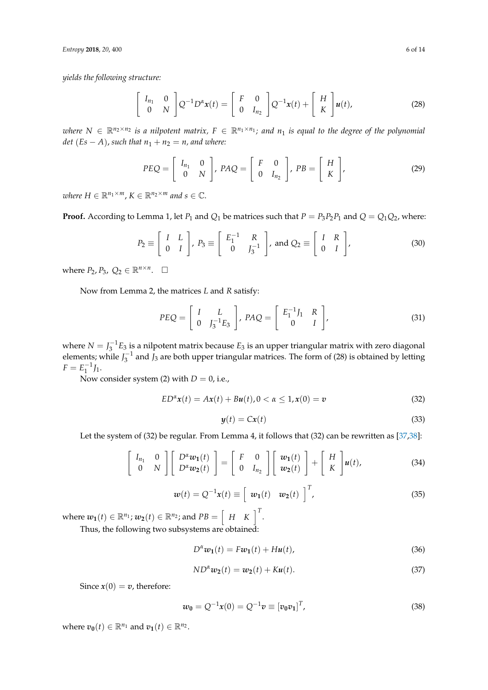*Entropy* **2018**, *20*, 400 6 of 14

*yields the following structure:*

$$
\begin{bmatrix} I_{n_1} & 0 \\ 0 & N \end{bmatrix} Q^{-1} D^{\alpha} \mathbf{x}(t) = \begin{bmatrix} F & 0 \\ 0 & I_{n_2} \end{bmatrix} Q^{-1} \mathbf{x}(t) + \begin{bmatrix} H \\ K \end{bmatrix} \mathbf{u}(t), \tag{28}
$$

*where*  $N \in \mathbb{R}^{n_2 \times n_2}$  *is a nilpotent matrix,*  $F \in \mathbb{R}^{n_1 \times n_1}$ *; and*  $n_1$  *is equal to the degree of the polynomial det* (*Es* − *A*), *such that*  $n_1 + n_2 = n$ , *and where:* 

$$
PEQ = \left[ \begin{array}{cc} I_{n_1} & 0 \\ 0 & N \end{array} \right], \, PAQ = \left[ \begin{array}{cc} F & 0 \\ 0 & I_{n_2} \end{array} \right], \, PB = \left[ \begin{array}{c} H \\ K \end{array} \right], \tag{29}
$$

*where*  $H \in \mathbb{R}^{n_1 \times m}$ ,  $K \in \mathbb{R}^{n_2 \times m}$  and  $s \in \mathbb{C}$ .

**Proof.** According to Lemma 1, let  $P_1$  and  $Q_1$  be matrices such that  $P = P_3 P_2 P_1$  and  $Q = Q_1 Q_2$ , where:

$$
P_2 \equiv \left[ \begin{array}{cc} I & L \\ 0 & I \end{array} \right], \ P_3 \equiv \left[ \begin{array}{cc} E_1^{-1} & R \\ 0 & I_3^{-1} \end{array} \right], \ \text{and } Q_2 \equiv \left[ \begin{array}{cc} I & R \\ 0 & I \end{array} \right], \tag{30}
$$

where  $P_2$ ,  $P_3$ ,  $Q_2 \in \mathbb{R}^{n \times n}$ .  $\Box$ 

Now from Lemma 2, the matrices *L* and *R* satisfy:

$$
PEQ = \left[\begin{array}{cc} I & L \\ 0 & J_3^{-1}E_3 \end{array}\right], PAQ = \left[\begin{array}{cc} E_1^{-1}J_1 & R \\ 0 & I \end{array}\right],
$$
(31)

where  $N = J_3^{-1}E_3$  is a nilpotent matrix because  $E_3$  is an upper triangular matrix with zero diagonal elements; while  $J_3^{-1}$  and  $J_3$  are both upper triangular matrices. The form of (28) is obtained by letting  $F = E_1^{-1} J_1.$ 

Now consider system (2) with *D* = 0, i.e.,

$$
ED^{\alpha}x(t) = Ax(t) + Bu(t), 0 < \alpha \le 1, x(0) = v
$$
\n(32)

$$
y(t) = Cx(t) \tag{33}
$$

Let the system of (32) be regular. From Lemma 4, it follows that (32) can be rewritten as [37,38]:

$$
\left[\begin{array}{cc} I_{n_1} & 0 \\ 0 & N \end{array}\right] \left[\begin{array}{c} D^{\alpha}w_1(t) \\ D^{\alpha}w_2(t) \end{array}\right] = \left[\begin{array}{cc} F & 0 \\ 0 & I_{n_2} \end{array}\right] \left[\begin{array}{c} w_1(t) \\ w_2(t) \end{array}\right] + \left[\begin{array}{c} H \\ K \end{array}\right] u(t),\tag{34}
$$

$$
\boldsymbol{w}(t) = \boldsymbol{Q}^{-1}\boldsymbol{x}(t) \equiv \left[\begin{array}{cc} \boldsymbol{w_1}(t) & \boldsymbol{w_2}(t) \end{array}\right]^T,\tag{35}
$$

where  $w_1(t) \in \mathbb{R}^{n_1}$ ;  $w_2(t) \in \mathbb{R}^{n_2}$ ; and  $PB = \begin{bmatrix} H & K \end{bmatrix}^T$ .

Thus, the following two subsystems are obtained:

$$
D^{\alpha}w_1(t) = Fw_1(t) + Hu(t),
$$
\n(36)

$$
ND^{\alpha}w_2(t) = w_2(t) + Ku(t).
$$
 (37)

Since  $x(0) = v$ , therefore:

$$
w_0 = Q^{-1}x(0) = Q^{-1}v \equiv [v_0v_1]^T,
$$
\n(38)

where  $v_0(t) \in \mathbb{R}^{n_1}$  and  $v_1(t) \in \mathbb{R}^{n_2}$ .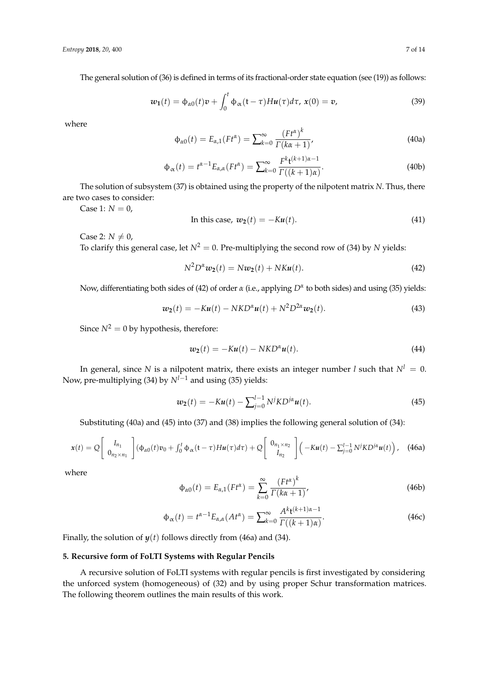The general solution of (36) is defined in terms of its fractional-order state equation (see (19)) as follows:

$$
w_1(t) = \phi_{\alpha 0}(t)v + \int_0^t \phi_{\alpha}(t-\tau)H u(\tau)d\tau, x(0) = v,
$$
\n(39)

where

$$
\Phi_{\alpha 0}(t) = E_{\alpha,1}(F t^{\alpha}) = \sum_{k=0}^{\infty} \frac{(F t^{\alpha})^k}{\Gamma(k\alpha + 1)},
$$
\n(40a)

$$
\Phi_{\alpha}(t) = t^{\alpha - 1} E_{\alpha,\alpha}(Ft^{\alpha}) = \sum_{k=0}^{\infty} \frac{F^{k}t^{(k+1)\alpha - 1}}{\Gamma((k+1)\alpha)}.
$$
\n(40b)

The solution of subsystem (37) is obtained using the property of the nilpotent matrix *N*. Thus, there are two cases to consider:

Case 1:  $N = 0$ ,

In this case, 
$$
w_2(t) = -Ku(t)
$$
. (41)

Case 2:  $N \neq 0$ ,

To clarify this general case, let  $N^2 = 0$ . Pre-multiplying the second row of (34) by *N* yields:

$$
N^2 D^{\alpha} w_2(t) = N w_2(t) + N K u(t). \qquad (42)
$$

Now, differentiating both sides of (42) of order *α* (i.e., applying *D<sup>α</sup>* to both sides) and using (35) yields:

$$
w_2(t) = -Ku(t) - NKD^{\alpha}u(t) + N^2D^{2\alpha}w_2(t).
$$
\n(43)

Since  $N^2 = 0$  by hypothesis, therefore:

$$
w_2(t) = -Ku(t) - NKD^{\alpha}u(t).
$$
\n(44)

In general, since *N* is a nilpotent matrix, there exists an integer number *l* such that  $N^l = 0$ . Now, pre-multiplying (34) by *Nl*−<sup>1</sup> and using (35) yields:

$$
w_2(t) = -Ku(t) - \sum_{j=0}^{l-1} N^j K D^{j\alpha} u(t).
$$
 (45)

Substituting (40a) and (45) into (37) and (38) implies the following general solution of (34):

$$
x(t) = Q\left[\begin{array}{c} I_{n_1} \\ 0_{n_2 \times n_1} \end{array}\right] (\phi_{\alpha 0}(t)v_0 + \int_0^t \phi_{\alpha}(t-\tau)Hu(\tau)d\tau) + Q\left[\begin{array}{c} 0_{n_1 \times n_2} \\ I_{n_2} \end{array}\right] \left(-Ku(t) - \sum_{j=0}^{l-1} N^jKD^{j\alpha}u(t)\right), \quad (46a)
$$

where

$$
\Phi_{\alpha 0}(t) = E_{\alpha,1}(F t^{\alpha}) = \sum_{k=0}^{\infty} \frac{(F t^{\alpha})^k}{\Gamma(k\alpha + 1)},
$$
\n(46b)

$$
\Phi_{\alpha}(t) = t^{\alpha - 1} E_{\alpha,\alpha}(At^{\alpha}) = \sum_{k=0}^{\infty} \frac{A^{k} \mathbf{t}^{(k+1)\alpha - 1}}{\Gamma((k+1)\alpha)}.
$$
\n(46c)

Finally, the solution of *y*(*t*) follows directly from (46a) and (34).

#### **5. Recursive form of FoLTI Systems with Regular Pencils**

A recursive solution of FoLTI systems with regular pencils is first investigated by considering the unforced system (homogeneous) of (32) and by using proper Schur transformation matrices. The following theorem outlines the main results of this work.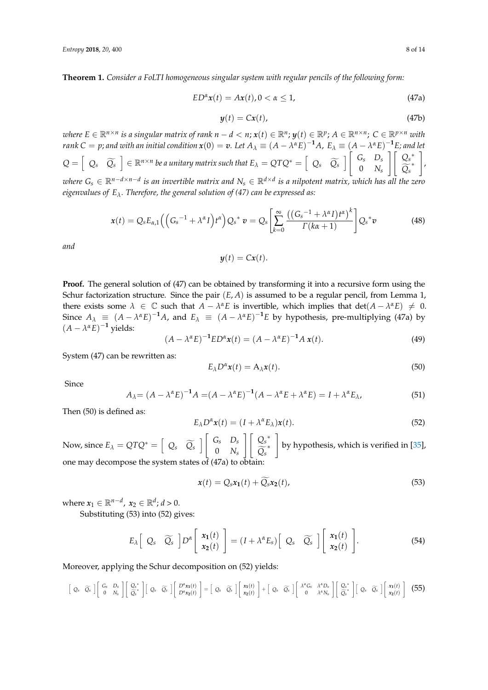**Theorem 1.** *Consider a FoLTI homogeneous singular system with regular pencils of the following form:*

$$
ED^{\alpha}x(t) = Ax(t), 0 < \alpha \le 1,
$$
\n(47a)

$$
y(t) = Cx(t), \tag{47b}
$$

where  $E \in \mathbb{R}^{n \times n}$  is a singular matrix of rank  $n-d < n$ ;  $x(t) \in \mathbb{R}^n$ ;  $y(t) \in \mathbb{R}^p$ ;  $A \in \mathbb{R}^{n \times n}$ ;  $C \in \mathbb{R}^{p \times n}$  with rank C  $=$  p; and with an initial condition  $x(0)=v.$  Let  $A_\lambda\equiv (A-\lambda^\alpha E)^{-1}A$ ,  $E_\lambda\equiv (A-\lambda^\alpha E)^{-1}E$ ; and let  $Q = \begin{bmatrix} Q_s & \widetilde{Q}_s \end{bmatrix} \in \mathbb{R}^{n \times n}$  be a unitary matrix such that  $E_\lambda = QTQ^* = \begin{bmatrix} Q_s & \widetilde{Q}_s \end{bmatrix} \begin{bmatrix} G_s & D_s \ 0 & N_s \end{bmatrix}$ 0 *Ns*  $\left[\begin{array}{c} \bigcap_{s^*}$  $Q_s^*$ 1 , *where G<sup>s</sup>* ∈ R*n*−*d*×*n*−*<sup>d</sup> is an invertible matrix and N<sup>s</sup>* ∈ R*d*×*<sup>d</sup> is a nilpotent matrix, which has all the zero eigenvalues of Eλ. Therefore, the general solution of (47) can be expressed as:*

$$
\mathbf{x}(t) = Q_s E_{\alpha,1} \left( \left( G_s^{-1} + \lambda^{\alpha} I \right) t^{\alpha} \right) Q_s^* \mathbf{v} = Q_s \left[ \sum_{k=0}^{\infty} \frac{\left( \left( G_s^{-1} + \lambda^{\alpha} I \right) t^{\alpha} \right)^k}{\Gamma(k\alpha + 1)} \right] Q_s^* \mathbf{v}
$$
(48)

*and*

$$
y(t) = Cx(t).
$$

**Proof.** The general solution of (47) can be obtained by transforming it into a recursive form using the Schur factorization structure. Since the pair (*E*, *A*) is assumed to be a regular pencil, from Lemma 1, there exists some  $\lambda \in \mathbb{C}$  such that  $A - \lambda^{\alpha} E$  is invertible, which implies that  $det(A - \lambda^{\alpha} E) \neq 0$ . Since  $A_{\lambda} \equiv (A - \lambda^{\alpha} E)^{-1} A$ , and  $E_{\lambda} \equiv (A - \lambda^{\alpha} E)^{-1} E$  by hypothesis, pre-multiplying (47a) by  $(A - \lambda^{\alpha}E)^{-1}$  yields:<br>  $(A - \lambda^{\alpha}E)^{-1}ED^{\alpha}x(t) = (A - \lambda^{\alpha}E)^{-1}A x(t).$  (49)

$$
(A - \lambda^{\alpha} E)^{-1} E D^{\alpha} \mathbf{x}(t) = (A - \lambda^{\alpha} E)^{-1} A \mathbf{x}(t).
$$
 (49)

System (47) can be rewritten as:

$$
E_{\lambda}D^{\alpha}x(t) = A_{\lambda}x(t). \tag{50}
$$

Since

$$
A_{\lambda} = (A - \lambda^{\alpha} E)^{-1} A = (A - \lambda^{\alpha} E)^{-1} (A - \lambda^{\alpha} E + \lambda^{\alpha} E) = I + \lambda^{\alpha} E_{\lambda},
$$
\n(51)

Then (50) is defined as:

$$
E_{\lambda}D^{\alpha}x(t) = (I + \lambda^{\alpha}E_{\lambda})x(t).
$$
\n(52)

Now, since  $E_{\lambda} = QTQ^* = \begin{bmatrix} Q_s & \widetilde{Q_s} \end{bmatrix} \begin{bmatrix} G_s & D_s \ 0 & N_s \end{bmatrix}$ 0 *Ns*  $\left[\begin{array}{cc} \bigcap_{s^*}$  $Q_s^*$ 1 by hypothesis, which is verified in [35], one may decompose the system states of  $(47a)$  to obtain

$$
\mathbf{x}(t) = Q_s \mathbf{x}_1(t) + Q_s \mathbf{x}_2(t), \tag{53}
$$

where  $x_1 \in \mathbb{R}^{n-d}$ ,  $x_2 \in \mathbb{R}^d$ ;  $d > 0$ .

Substituting (53) into (52) gives:

$$
E_{\lambda} \left[ \begin{array}{cc} Q_{s} & \widetilde{Q_{s}} \end{array} \right] D^{\alpha} \left[ \begin{array}{c} x_{1}(t) \\ x_{2}(t) \end{array} \right] = (I + \lambda^{\alpha} E_{s}) \left[ \begin{array}{cc} Q_{s} & \widetilde{Q_{s}} \end{array} \right] \left[ \begin{array}{c} x_{1}(t) \\ x_{2}(t) \end{array} \right]. \tag{54}
$$

Moreover, applying the Schur decomposition on (52) yields:

$$
\begin{bmatrix} Q_s & \widetilde{Q}_s \end{bmatrix} \begin{bmatrix} G_s & D_s \\ 0 & N_s \end{bmatrix} \begin{bmatrix} Q_s^* \\ \widetilde{Q}_s^* \end{bmatrix} \begin{bmatrix} Q_s & \widetilde{Q}_s \end{bmatrix} \begin{bmatrix} D^{\alpha}x_1(t) \\ D^{\alpha}x_2(t) \end{bmatrix} = \begin{bmatrix} Q_s & \widetilde{Q}_s \end{bmatrix} \begin{bmatrix} x_1(t) \\ x_2(t) \end{bmatrix} + \begin{bmatrix} Q_s & \widetilde{Q}_s \end{bmatrix} \begin{bmatrix} \lambda^{\alpha}G_s & \lambda^{\alpha}D_s \\ 0 & \lambda^{\alpha}N_s \end{bmatrix} \begin{bmatrix} Q_s^* \\ \widetilde{Q}_s^* \end{bmatrix} \begin{bmatrix} x_1(t) \\ x_2(t) \end{bmatrix}
$$
 (55)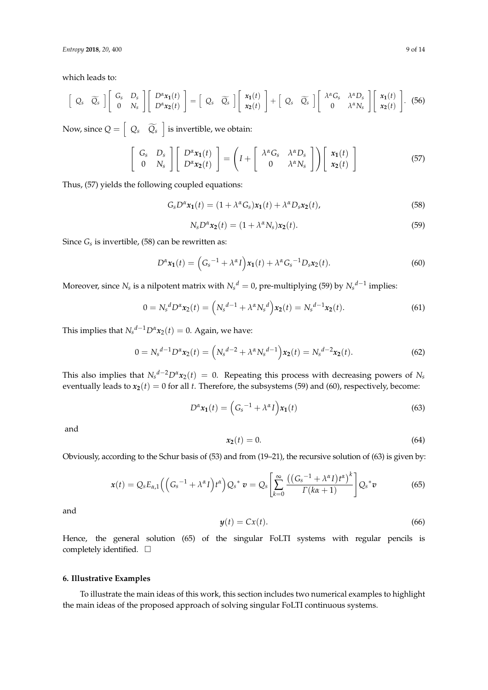*Entropy* **2018**, *20*, 400 9 of 14

which leads to:

$$
\begin{bmatrix} Q_s & \widetilde{Q}_s \end{bmatrix} \begin{bmatrix} G_s & D_s \\ 0 & N_s \end{bmatrix} \begin{bmatrix} D^{\alpha}x_1(t) \\ D^{\alpha}x_2(t) \end{bmatrix} = \begin{bmatrix} Q_s & \widetilde{Q}_s \end{bmatrix} \begin{bmatrix} x_1(t) \\ x_2(t) \end{bmatrix} + \begin{bmatrix} Q_s & \widetilde{Q}_s \end{bmatrix} \begin{bmatrix} \lambda^{\alpha}G_s & \lambda^{\alpha}D_s \\ 0 & \lambda^{\alpha}N_s \end{bmatrix} \begin{bmatrix} x_1(t) \\ x_2(t) \end{bmatrix}.
$$
 (56)

Now, since  $Q = \begin{bmatrix} Q_s & \widetilde{Q}_s \end{bmatrix}$  is invertible, we obtain:

$$
\begin{bmatrix} G_s & D_s \ 0 & N_s \end{bmatrix} \begin{bmatrix} D^{\alpha}x_1(t) \\ D^{\alpha}x_2(t) \end{bmatrix} = \left( I + \begin{bmatrix} \lambda^{\alpha}G_s & \lambda^{\alpha}D_s \\ 0 & \lambda^{\alpha}N_s \end{bmatrix} \right) \begin{bmatrix} x_1(t) \\ x_2(t) \end{bmatrix}
$$
(57)

Thus, (57) yields the following coupled equations:

$$
G_s D^{\alpha} x_1(t) = (1 + \lambda^{\alpha} G_s) x_1(t) + \lambda^{\alpha} D_s x_2(t), \qquad (58)
$$

$$
N_s D^{\alpha} x_2(t) = (1 + \lambda^{\alpha} N_s) x_2(t).
$$
\n(59)

Since *Gs* is invertible, (58) can be rewritten as:

$$
D^{\alpha}x_1(t) = (G_s^{-1} + \lambda^{\alpha}I)x_1(t) + \lambda^{\alpha}G_s^{-1}D_sx_2(t).
$$
 (60)

Moreover, since  $N_s$  is a nilpotent matrix with  $N_s^d = 0$ , pre-multiplying (59) by  $N_s^{d-1}$  implies:

$$
0 = N_s^d D^{\alpha} x_2(t) = \left( N_s^{d-1} + \lambda^{\alpha} N_s^d \right) x_2(t) = N_s^{d-1} x_2(t).
$$
 (61)

This implies that  $N_s^{d-1}D^a x_2(t) = 0$ . Again, we have:

$$
0 = N_s^{d-1} D^{\alpha} x_2(t) = \left( N_s^{d-2} + \lambda^{\alpha} N_s^{d-1} \right) x_2(t) = N_s^{d-2} x_2(t).
$$
 (62)

This also implies that  $N_s^{d-2}D^{\alpha}x_2(t) = 0$ . Repeating this process with decreasing powers of  $N_s$ eventually leads to  $x_2(t) = 0$  for all *t*. Therefore, the subsystems (59) and (60), respectively, become:

$$
D^{\alpha} \mathbf{x}_1(t) = \left(G_s^{-1} + \lambda^{\alpha} I\right) \mathbf{x}_1(t) \tag{63}
$$

and

$$
x_2(t) = 0.\tag{64}
$$

Obviously, according to the Schur basis of (53) and from (19–21), the recursive solution of (63) is given by:

$$
\mathbf{x}(t) = Q_s E_{\alpha,1} \left( \left( G_s^{-1} + \lambda^{\alpha} I \right) t^{\alpha} \right) Q_s^* \, \mathbf{v} = Q_s \left[ \sum_{k=0}^{\infty} \frac{\left( \left( G_s^{-1} + \lambda^{\alpha} I \right) t^{\alpha} \right)^k}{\Gamma(k\alpha + 1)} \right] Q_s^* \mathbf{v} \tag{65}
$$

and

$$
y(t) = Cx(t). \tag{66}
$$

Hence, the general solution (65) of the singular FoLTI systems with regular pencils is completely identified.  $\square$ 

## **6. Illustrative Examples**

To illustrate the main ideas of this work, this section includes two numerical examples to highlight the main ideas of the proposed approach of solving singular FoLTI continuous systems.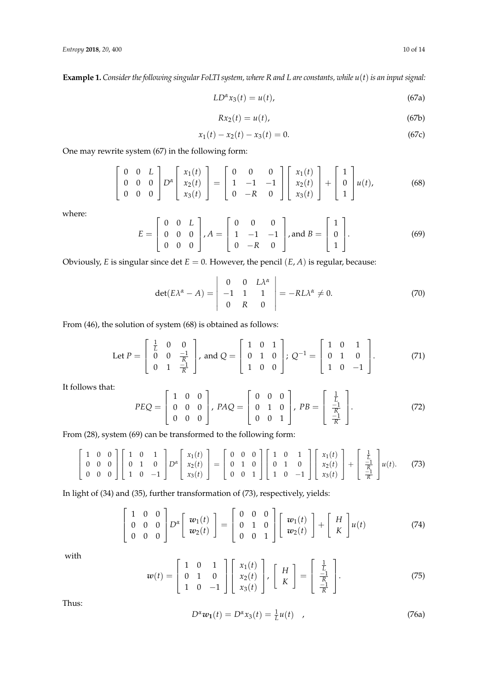**Example 1.** *Consider the following singular FoLTI system, where R and L are constants, while u*(*t*)*is an input signal:*

$$
LD^{\alpha}x_3(t) = u(t),\tag{67a}
$$

$$
Rx_2(t) = u(t),\tag{67b}
$$

$$
x_1(t) - x_2(t) - x_3(t) = 0.
$$
\n(67c)

One may rewrite system (67) in the following form:

$$
\begin{bmatrix} 0 & 0 & L \\ 0 & 0 & 0 \\ 0 & 0 & 0 \end{bmatrix} D^{\alpha} \begin{bmatrix} x_1(t) \\ x_2(t) \\ x_3(t) \end{bmatrix} = \begin{bmatrix} 0 & 0 & 0 \\ 1 & -1 & -1 \\ 0 & -R & 0 \end{bmatrix} \begin{bmatrix} x_1(t) \\ x_2(t) \\ x_3(t) \end{bmatrix} + \begin{bmatrix} 1 \\ 0 \\ 1 \end{bmatrix} u(t), \tag{68}
$$

where:

$$
E = \begin{bmatrix} 0 & 0 & L \\ 0 & 0 & 0 \\ 0 & 0 & 0 \end{bmatrix}, A = \begin{bmatrix} 0 & 0 & 0 \\ 1 & -1 & -1 \\ 0 & -R & 0 \end{bmatrix}, \text{and } B = \begin{bmatrix} 1 \\ 0 \\ 1 \end{bmatrix}.
$$
 (69)

Obviously, *E* is singular since det  $E = 0$ . However, the pencil  $(E, A)$  is regular, because:

$$
\det(E\lambda^{\alpha} - A) = \begin{vmatrix} 0 & 0 & L\lambda^{\alpha} \\ -1 & 1 & 1 \\ 0 & R & 0 \end{vmatrix} = -RL\lambda^{\alpha} \neq 0.
$$
 (70)

From (46), the solution of system (68) is obtained as follows:

Let 
$$
P = \begin{bmatrix} \frac{1}{L} & 0 & 0 \\ 0 & 0 & \frac{-1}{R} \\ 0 & 1 & \frac{-1}{R} \end{bmatrix}
$$
, and  $Q = \begin{bmatrix} 1 & 0 & 1 \\ 0 & 1 & 0 \\ 1 & 0 & 0 \end{bmatrix}$ ;  $Q^{-1} = \begin{bmatrix} 1 & 0 & 1 \\ 0 & 1 & 0 \\ 1 & 0 & -1 \end{bmatrix}$ . (71)

It follows that:

$$
PEQ = \begin{bmatrix} 1 & 0 & 0 \\ 0 & 0 & 0 \\ 0 & 0 & 0 \end{bmatrix}, PAQ = \begin{bmatrix} 0 & 0 & 0 \\ 0 & 1 & 0 \\ 0 & 0 & 1 \end{bmatrix}, PB = \begin{bmatrix} \frac{1}{L} \\ \frac{-1}{R} \\ \frac{-1}{R} \end{bmatrix}.
$$
 (72)

From (28), system (69) can be transformed to the following form:

$$
\begin{bmatrix} 1 & 0 & 0 \ 0 & 0 & 0 \ 0 & 0 & 0 \end{bmatrix} \begin{bmatrix} 1 & 0 & 1 \ 0 & 1 & 0 \ 1 & 0 & -1 \end{bmatrix} D^{\alpha} \begin{bmatrix} x_1(t) \ x_2(t) \ x_3(t) \end{bmatrix} = \begin{bmatrix} 0 & 0 & 0 \ 0 & 1 & 0 \ 0 & 0 & 1 \end{bmatrix} \begin{bmatrix} 1 & 0 & 1 \ 0 & 1 & 0 \ 1 & 0 & -1 \end{bmatrix} \begin{bmatrix} x_1(t) \ x_2(t) \ x_3(t) \end{bmatrix} + \begin{bmatrix} \frac{1}{L} \\ \frac{-1}{R} \\ \frac{-1}{R} \end{bmatrix} u(t).
$$
 (73)

In light of (34) and (35), further transformation of (73), respectively, yields:

$$
\begin{bmatrix} 1 & 0 & 0 \ 0 & 0 & 0 \ 0 & 0 & 0 \end{bmatrix} D^{\alpha} \begin{bmatrix} w_1(t) \\ w_2(t) \end{bmatrix} = \begin{bmatrix} 0 & 0 & 0 \ 0 & 1 & 0 \ 0 & 0 & 1 \end{bmatrix} \begin{bmatrix} w_1(t) \\ w_2(t) \end{bmatrix} + \begin{bmatrix} H \\ K \end{bmatrix} u(t) \qquad (74)
$$

with

$$
w(t) = \begin{bmatrix} 1 & 0 & 1 \\ 0 & 1 & 0 \\ 1 & 0 & -1 \end{bmatrix} \begin{bmatrix} x_1(t) \\ x_2(t) \\ x_3(t) \end{bmatrix}, \begin{bmatrix} H \\ K \end{bmatrix} = \begin{bmatrix} \frac{1}{L} \\ \frac{-1}{R} \\ \frac{-1}{R} \end{bmatrix}.
$$
 (75)

Thus:

$$
D^{\alpha}w_1(t) = D^{\alpha}x_3(t) = \frac{1}{L}u(t) \quad , \tag{76a}
$$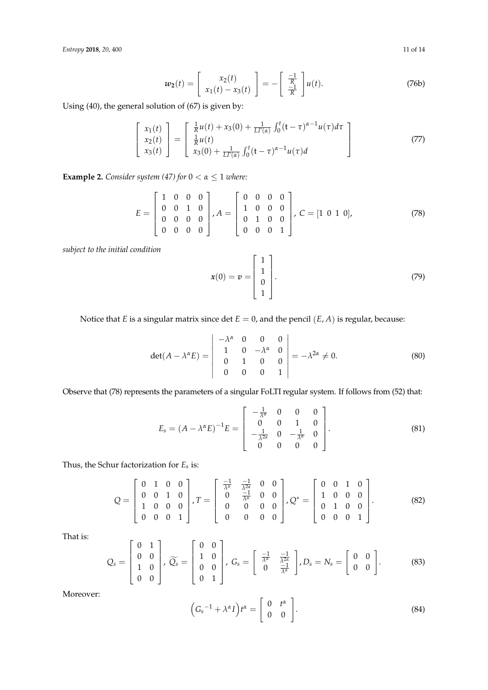*Entropy* **2018**, 20, 400 11 of 14

$$
w_2(t) = \begin{bmatrix} x_2(t) \\ x_1(t) - x_3(t) \end{bmatrix} = -\begin{bmatrix} \frac{-1}{R} \\ \frac{-1}{R} \end{bmatrix} u(t).
$$
 (76b)

Using (40), the general solution of (67) is given by:

$$
\begin{bmatrix} x_1(t) \\ x_2(t) \\ x_3(t) \end{bmatrix} = \begin{bmatrix} \frac{1}{R}u(t) + x_3(0) + \frac{1}{LT(\alpha)} \int_0^t (t - \tau)^{\alpha - 1} u(\tau) d\tau \\ \frac{1}{R}u(t) \\ x_3(0) + \frac{1}{LT(\alpha)} \int_0^t (t - \tau)^{\alpha - 1} u(\tau) d\tau \end{bmatrix}
$$
(77)

**Example 2.** *Consider system (47) for*  $0 < \alpha \leq 1$  *where:* 

$$
E = \begin{bmatrix} 1 & 0 & 0 & 0 \\ 0 & 0 & 1 & 0 \\ 0 & 0 & 0 & 0 \\ 0 & 0 & 0 & 0 \end{bmatrix}, A = \begin{bmatrix} 0 & 0 & 0 & 0 \\ 1 & 0 & 0 & 0 \\ 0 & 1 & 0 & 0 \\ 0 & 0 & 0 & 1 \end{bmatrix}, C = [1 \ 0 \ 1 \ 0],
$$
 (78)

*subject to the initial condition*

$$
\mathbf{x}(0) = \mathbf{v} = \begin{bmatrix} 1 \\ 1 \\ 0 \\ 1 \end{bmatrix}.
$$
 (79)

Notice that *E* is a singular matrix since det  $E = 0$ , and the pencil  $(E, A)$  is regular, because:

$$
\det(A - \lambda^{\alpha} E) = \begin{vmatrix} -\lambda^{\alpha} & 0 & 0 & 0 \\ 1 & 0 & -\lambda^{\alpha} & 0 \\ 0 & 1 & 0 & 0 \\ 0 & 0 & 0 & 1 \end{vmatrix} = -\lambda^{2\alpha} \neq 0.
$$
 (80)

Observe that (78) represents the parameters of a singular FoLTI regular system. If follows from (52) that:

$$
E_s = (A - \lambda^{\alpha} E)^{-1} E = \begin{bmatrix} -\frac{1}{\lambda^{\alpha}} & 0 & 0 & 0 \\ 0 & 0 & 1 & 0 \\ -\frac{1}{\lambda^{2\alpha}} & 0 & -\frac{1}{\lambda^{\alpha}} & 0 \\ 0 & 0 & 0 & 0 \end{bmatrix}.
$$
 (81)

Thus, the Schur factorization for *Es* is:

$$
Q = \begin{bmatrix} 0 & 1 & 0 & 0 \\ 0 & 0 & 1 & 0 \\ 1 & 0 & 0 & 0 \\ 0 & 0 & 0 & 1 \end{bmatrix}, T = \begin{bmatrix} \frac{-1}{\lambda^{\alpha}} & \frac{-1}{\lambda^{2\alpha}} & 0 & 0 \\ 0 & \frac{-1}{\lambda^{\alpha}} & 0 & 0 \\ 0 & 0 & 0 & 0 \\ 0 & 0 & 0 & 0 \end{bmatrix}, Q^* = \begin{bmatrix} 0 & 0 & 1 & 0 \\ 1 & 0 & 0 & 0 \\ 0 & 1 & 0 & 0 \\ 0 & 0 & 0 & 1 \end{bmatrix}.
$$
 (82)

That is:

$$
Q_s = \begin{bmatrix} 0 & 1 \\ 0 & 0 \\ 1 & 0 \\ 0 & 0 \end{bmatrix}, \widetilde{Q_s} = \begin{bmatrix} 0 & 0 \\ 1 & 0 \\ 0 & 0 \\ 0 & 1 \end{bmatrix}, G_s = \begin{bmatrix} \frac{-1}{\lambda^{\alpha}} & \frac{-1}{\lambda^{2\alpha}} \\ 0 & \frac{-1}{\lambda^{\alpha}} \end{bmatrix}, D_s = N_s = \begin{bmatrix} 0 & 0 \\ 0 & 0 \\ 0 & 0 \end{bmatrix}.
$$
 (83)

Moreover:

$$
\left(G_s^{-1} + \lambda^{\alpha} I\right) t^{\alpha} = \left[\begin{array}{cc} 0 & t^{\alpha} \\ 0 & 0 \end{array}\right].\tag{84}
$$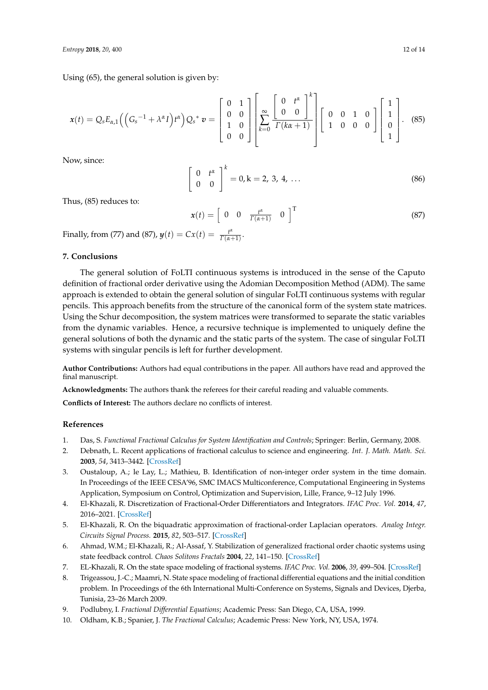Using (65), the general solution is given by:

$$
\mathbf{x}(t) = Q_s E_{\alpha,1} \left( \left( G_s^{-1} + \lambda^{\alpha} I \right) t^{\alpha} \right) Q_s^* \mathbf{v} = \begin{bmatrix} 0 & 1 \\ 0 & 0 \\ 1 & 0 \\ 0 & 0 \end{bmatrix} \left[ \sum_{k=0}^{\infty} \frac{\begin{bmatrix} 0 & t^{\alpha} \\ 0 & 0 \end{bmatrix}^{k}}{\Gamma(k\alpha+1)} \right] \begin{bmatrix} 0 & 0 & 1 & 0 \\ 1 & 0 & 0 & 0 \\ 1 & 0 & 0 & 0 \end{bmatrix} \begin{bmatrix} 1 \\ 1 \\ 0 \\ 1 \end{bmatrix}.
$$
 (85)

Now, since:

$$
\begin{bmatrix} 0 & t^{\alpha} \\ 0 & 0 \end{bmatrix}^{k} = 0, k = 2, 3, 4, ...
$$
 (86)

Thus, (85) reduces to:

$$
\boldsymbol{x}(t) = \begin{bmatrix} 0 & 0 & \frac{t^{\alpha}}{\Gamma(\alpha+1)} & 0 \end{bmatrix}^{\mathrm{T}}
$$
 (87)

Finally, from (77) and (87),  $y(t) = Cx(t) = \frac{t^4}{\Gamma(\alpha - 1)}$  $\frac{r^{\alpha}}{\Gamma(\alpha+1)}$ .

# **7. Conclusions**

The general solution of FoLTI continuous systems is introduced in the sense of the Caputo definition of fractional order derivative using the Adomian Decomposition Method (ADM). The same approach is extended to obtain the general solution of singular FoLTI continuous systems with regular pencils. This approach benefits from the structure of the canonical form of the system state matrices. Using the Schur decomposition, the system matrices were transformed to separate the static variables from the dynamic variables. Hence, a recursive technique is implemented to uniquely define the general solutions of both the dynamic and the static parts of the system. The case of singular FoLTI systems with singular pencils is left for further development.

**Author Contributions:** Authors had equal contributions in the paper. All authors have read and approved the final manuscript.

**Acknowledgments:** The authors thank the referees for their careful reading and valuable comments.

**Conflicts of Interest:** The authors declare no conflicts of interest.

## **References**

- 1. Das, S. *Functional Fractional Calculus for System Identification and Controls*; Springer: Berlin, Germany, 2008.
- 2. Debnath, L. Recent applications of fractional calculus to science and engineering. *Int. J. Math. Math. Sci.* **2003**, *54*, 3413–3442. [CrossRef]
- 3. Oustaloup, A.; le Lay, L.; Mathieu, B. Identification of non-integer order system in the time domain. In Proceedings of the IEEE CESA'96, SMC IMACS Multiconference, Computational Engineering in Systems Application, Symposium on Control, Optimization and Supervision, Lille, France, 9–12 July 1996.
- 4. El-Khazali, R. Discretization of Fractional-Order Differentiators and Integrators. *IFAC Proc. Vol.* **2014**, *47*, 2016–2021. [CrossRef]
- 5. El-Khazali, R. On the biquadratic approximation of fractional-order Laplacian operators. *Analog Integr. Circuits Signal Process.* **2015**, *82*, 503–517. [CrossRef]
- 6. Ahmad, W.M.; El-Khazali, R.; Al-Assaf, Y. Stabilization of generalized fractional order chaotic systems using state feedback control. *Chaos Solitons Fractals* **2004**, *22*, 141–150. [CrossRef]
- 7. EL-Khazali, R. On the state space modeling of fractional systems. *IFAC Proc. Vol.* **2006**, *39*, 499–504. [CrossRef]
- 8. Trigeassou, J.-C.; Maamri, N. State space modeling of fractional differential equations and the initial condition problem. In Proceedings of the 6th International Multi-Conference on Systems, Signals and Devices, Djerba, Tunisia, 23–26 March 2009.
- 9. Podlubny, I. *Fractional Differential Equations*; Academic Press: San Diego, CA, USA, 1999.
- 10. Oldham, K.B.; Spanier, J. *The Fractional Calculus*; Academic Press: New York, NY, USA, 1974.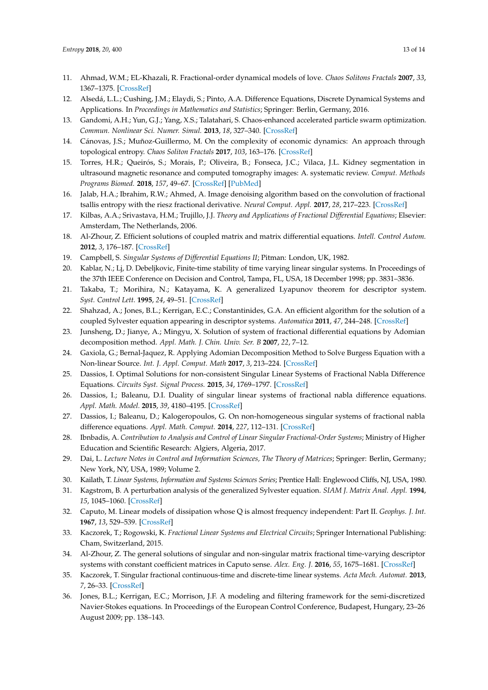- 11. Ahmad, W.M.; EL-Khazali, R. Fractional-order dynamical models of love. *Chaos Solitons Fractals* **2007**, *33*, 1367–1375. [CrossRef]
- 12. Alsedá, L.L.; Cushing, J.M.; Elaydi, S.; Pinto, A.A. Difference Equations, Discrete Dynamical Systems and Applications. In *Proceedings in Mathematics and Statistics*; Springer: Berlin, Germany, 2016.
- 13. Gandomi, A.H.; Yun, G.J.; Yang, X.S.; Talatahari, S. Chaos-enhanced accelerated particle swarm optimization. *Commun. Nonlinear Sci. Numer. Simul.* **2013**, *18*, 327–340. [CrossRef]
- 14. Cánovas, J.S.; Muñoz-Guillermo, M. On the complexity of economic dynamics: An approach through topological entropy. *Chaos Soliton Fractals* **2017**, *103*, 163–176. [CrossRef]
- 15. Torres, H.R.; Queirós, S.; Morais, P.; Oliveira, B.; Fonseca, J.C.; Vilaca, J.L. Kidney segmentation in ultrasound magnetic resonance and computed tomography images: A. systematic review. *Comput. Methods Programs Biomed.* **2018**, *157*, 49–67. [CrossRef] [PubMed]
- 16. Jalab, H.A.; Ibrahim, R.W.; Ahmed, A. Image denoising algorithm based on the convolution of fractional tsallis entropy with the riesz fractional derivative. *Neural Comput. Appl.* **2017**, *28*, 217–223. [CrossRef]
- 17. Kilbas, A.A.; Srivastava, H.M.; Trujillo, J.J. *Theory and Applications of Fractional Differential Equations*; Elsevier: Amsterdam, The Netherlands, 2006.
- 18. Al-Zhour, Z. Efficient solutions of coupled matrix and matrix differential equations. *Intell. Control Autom.* **2012**, *3*, 176–187. [CrossRef]
- 19. Campbell, S. *Singular Systems of Differential Equations II*; Pitman: London, UK, 1982.
- 20. Kablar, N.; Lj, D. Debeljkovic, Finite-time stability of time varying linear singular systems. In Proceedings of the 37th IEEE Conference on Decision and Control, Tampa, FL, USA, 18 December 1998; pp. 3831–3836.
- 21. Takaba, T.; Morihira, N.; Katayama, K. A generalized Lyapunov theorem for descriptor system. *Syst. Control Lett.* **1995**, *24*, 49–51. [CrossRef]
- 22. Shahzad, A.; Jones, B.L.; Kerrigan, E.C.; Constantinides, G.A. An efficient algorithm for the solution of a coupled Sylvester equation appearing in descriptor systems. *Automatica* **2011**, *47*, 244–248. [CrossRef]
- 23. Junsheng, D.; Jianye, A.; Mingyu, X. Solution of system of fractional differential equations by Adomian decomposition method. *Appl. Math. J. Chin. Univ. Ser. B* **2007**, *22*, 7–12.
- 24. Gaxiola, G.; Bernal-Jaquez, R. Applying Adomian Decomposition Method to Solve Burgess Equation with a Non-linear Source. *Int. J. Appl. Comput. Math* **2017**, *3*, 213–224. [CrossRef]
- 25. Dassios, I. Optimal Solutions for non-consistent Singular Linear Systems of Fractional Nabla Difference Equations. *Circuits Syst. Signal Process.* **2015**, *34*, 1769–1797. [CrossRef]
- 26. Dassios, I.; Baleanu, D.I. Duality of singular linear systems of fractional nabla difference equations. *Appl. Math. Model.* **2015**, *39*, 4180–4195. [CrossRef]
- 27. Dassios, I.; Baleanu, D.; Kalogeropoulos, G. On non-homogeneous singular systems of fractional nabla difference equations. *Appl. Math. Comput.* **2014**, *227*, 112–131. [CrossRef]
- 28. Ibnbadis, A. *Contribution to Analysis and Control of Linear Singular Fractional-Order Systems*; Ministry of Higher Education and Scientific Research: Algiers, Algeria, 2017.
- 29. Dai, L. *Lecture Notes in Control and Information Sciences, The Theory of Matrices*; Springer: Berlin, Germany; New York, NY, USA, 1989; Volume 2.
- 30. Kailath, T. *Linear Systems, Information and Systems Sciences Series*; Prentice Hall: Englewood Cliffs, NJ, USA, 1980.
- 31. Kagstrom, B. A perturbation analysis of the generalized Sylvester equation. *SIAM J. Matrix Anal. Appl.* **1994**, *15*, 1045–1060. [CrossRef]
- 32. Caputo, M. Linear models of dissipation whose Q is almost frequency independent: Part II. *Geophys. J. Int.* **1967**, *13*, 529–539. [CrossRef]
- 33. Kaczorek, T.; Rogowski, K. *Fractional Linear Systems and Electrical Circuits*; Springer International Publishing: Cham, Switzerland, 2015.
- 34. Al-Zhour, Z. The general solutions of singular and non-singular matrix fractional time-varying descriptor systems with constant coefficient matrices in Caputo sense. *Alex. Eng. J.* **2016**, *55*, 1675–1681. [CrossRef]
- 35. Kaczorek, T. Singular fractional continuous-time and discrete-time linear systems. *Acta Mech. Automat.* **2013**, *7*, 26–33. [CrossRef]
- 36. Jones, B.L.; Kerrigan, E.C.; Morrison, J.F. A modeling and filtering framework for the semi-discretized Navier-Stokes equations. In Proceedings of the European Control Conference, Budapest, Hungary, 23–26 August 2009; pp. 138–143.